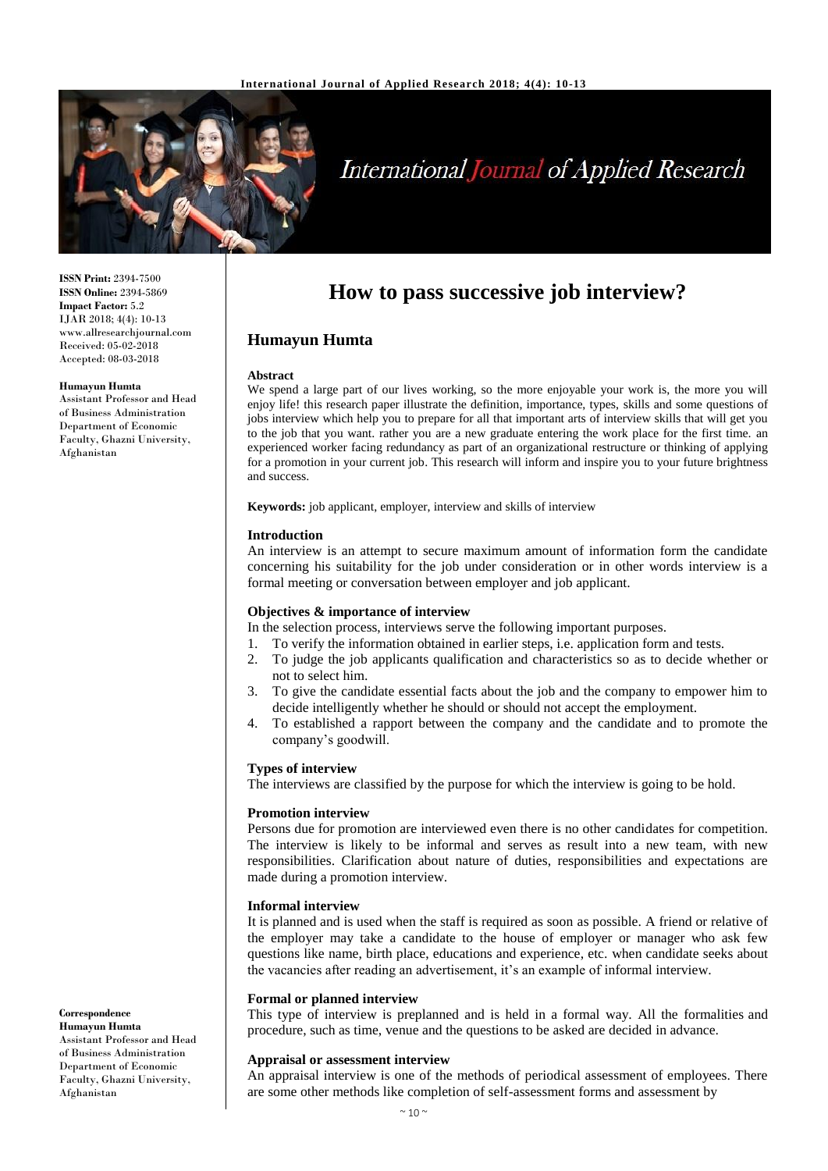

# **International Journal of Applied Research**

**ISSN Print:** 2394-7500 **ISSN Online:** 2394-5869 **Impact Factor:** 5.2 IJAR 2018; 4(4): 10-13 www.allresearchjournal.com Received: 05-02-2018 Accepted: 08-03-2018

#### **Humayun Humta**

Assistant Professor and Head of Business Administration Department of Economic Faculty, Ghazni University, Afghanistan

# **How to pass successive job interview?**

# **Humayun Humta**

#### **Abstract**

We spend a large part of our lives working, so the more enjoyable your work is, the more you will enjoy life! this research paper illustrate the definition, importance, types, skills and some questions of jobs interview which help you to prepare for all that important arts of interview skills that will get you to the job that you want. rather you are a new graduate entering the work place for the first time. an experienced worker facing redundancy as part of an organizational restructure or thinking of applying for a promotion in your current job. This research will inform and inspire you to your future brightness and success.

**Keywords:** job applicant, employer, interview and skills of interview

#### **Introduction**

An interview is an attempt to secure maximum amount of information form the candidate concerning his suitability for the job under consideration or in other words interview is a formal meeting or conversation between employer and job applicant.

#### **Objectives & importance of interview**

In the selection process, interviews serve the following important purposes.

- 1. To verify the information obtained in earlier steps, i.e. application form and tests.
- 2. To judge the job applicants qualification and characteristics so as to decide whether or not to select him.
- 3. To give the candidate essential facts about the job and the company to empower him to decide intelligently whether he should or should not accept the employment.
- 4. To established a rapport between the company and the candidate and to promote the company's goodwill.

#### **Types of interview**

The interviews are classified by the purpose for which the interview is going to be hold.

#### **Promotion interview**

Persons due for promotion are interviewed even there is no other candidates for competition. The interview is likely to be informal and serves as result into a new team, with new responsibilities. Clarification about nature of duties, responsibilities and expectations are made during a promotion interview.

#### **Informal interview**

It is planned and is used when the staff is required as soon as possible. A friend or relative of the employer may take a candidate to the house of employer or manager who ask few questions like name, birth place, educations and experience, etc. when candidate seeks about the vacancies after reading an advertisement, it's an example of informal interview.

#### **Formal or planned interview**

This type of interview is preplanned and is held in a formal way. All the formalities and procedure, such as time, venue and the questions to be asked are decided in advance.

#### **Appraisal or assessment interview**

An appraisal interview is one of the methods of periodical assessment of employees. There are some other methods like completion of self-assessment forms and assessment by

#### **Correspondence Humayun Humta**

Assistant Professor and Head of Business Administration Department of Economic Faculty, Ghazni University, Afghanistan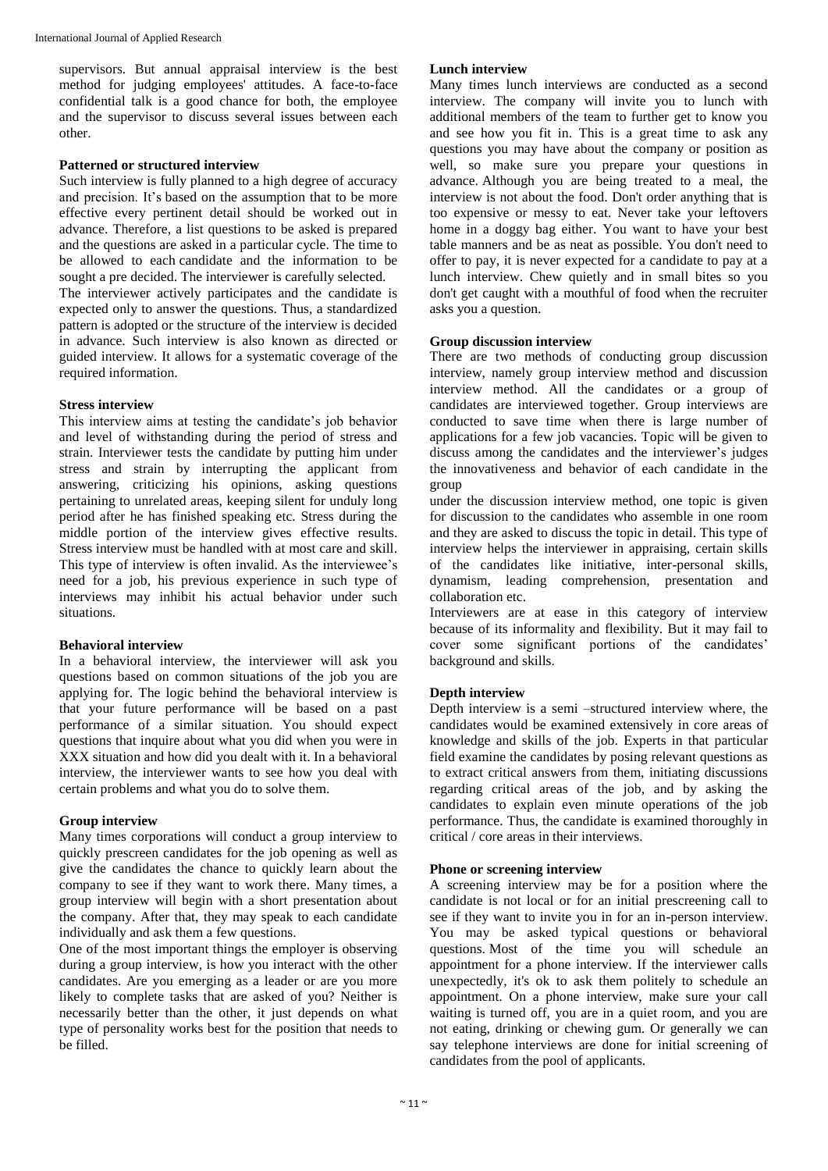supervisors. But annual appraisal interview is the best method for judging employees' attitudes. A face-to-face confidential talk is a good chance for both, the employee and the supervisor to discuss several issues between each other.

#### **Patterned or structured interview**

Such interview is fully planned to a high degree of accuracy and precision. It's based on the assumption that to be more effective every pertinent detail should be worked out in advance. Therefore, a list questions to be asked is prepared and the questions are asked in a particular cycle. The time to be allowed to each candidate and the information to be sought a pre decided. The interviewer is carefully selected.

The interviewer actively participates and the candidate is expected only to answer the questions. Thus, a standardized pattern is adopted or the structure of the interview is decided in advance. Such interview is also known as directed or guided interview. It allows for a systematic coverage of the required information.

#### **Stress interview**

This interview aims at testing the candidate's job behavior and level of withstanding during the period of stress and strain. Interviewer tests the candidate by putting him under stress and strain by interrupting the applicant from answering, criticizing his opinions, asking questions pertaining to unrelated areas, keeping silent for unduly long period after he has finished speaking etc. Stress during the middle portion of the interview gives effective results. Stress interview must be handled with at most care and skill. This type of interview is often invalid. As the interviewee's need for a job, his previous experience in such type of interviews may inhibit his actual behavior under such situations.

#### **Behavioral interview**

In a behavioral interview, the interviewer will ask you questions based on common situations of the job you are applying for. The logic behind the behavioral interview is that your future performance will be based on a past performance of a similar situation. You should expect questions that inquire about what you did when you were in XXX situation and how did you dealt with it. In a behavioral interview, the interviewer wants to see how you deal with certain problems and what you do to solve them.

# **Group interview**

Many times corporations will conduct a group interview to quickly prescreen candidates for the job opening as well as give the candidates the chance to quickly learn about the company to see if they want to work there. Many times, a group interview will begin with a short presentation about the company. After that, they may speak to each candidate individually and ask them a few questions.

One of the most important things the employer is observing during a group interview, is how you interact with the other candidates. Are you emerging as a leader or are you more likely to complete tasks that are asked of you? Neither is necessarily better than the other, it just depends on what type of personality works best for the position that needs to be filled.

#### **Lunch interview**

Many times lunch interviews are conducted as a second interview. The company will invite you to lunch with additional members of the team to further get to know you and see how you fit in. This is a great time to ask any questions you may have about the company or position as well, so make sure you prepare your questions in advance. Although you are being treated to a meal, the interview is not about the food. Don't order anything that is too expensive or messy to eat. Never take your leftovers home in a doggy bag either. You want to have your best table manners and be as neat as possible. You don't need to offer to pay, it is never expected for a candidate to pay at a lunch interview. Chew quietly and in small bites so you don't get caught with a mouthful of food when the recruiter asks you a question.

#### **Group discussion interview**

There are two methods of conducting group discussion interview, namely group interview method and discussion interview method. All the candidates or a group of candidates are interviewed together. Group interviews are conducted to save time when there is large number of applications for a few job vacancies. Topic will be given to discuss among the candidates and the interviewer's judges the innovativeness and behavior of each candidate in the group

under the discussion interview method, one topic is given for discussion to the candidates who assemble in one room and they are asked to discuss the topic in detail. This type of interview helps the interviewer in appraising, certain skills of the candidates like initiative, inter-personal skills, dynamism, leading comprehension, presentation and collaboration etc.

Interviewers are at ease in this category of interview because of its informality and flexibility. But it may fail to cover some significant portions of the candidates' background and skills.

# **Depth interview**

Depth interview is a semi –structured interview where, the candidates would be examined extensively in core areas of knowledge and skills of the job. Experts in that particular field examine the candidates by posing relevant questions as to extract critical answers from them, initiating discussions regarding critical areas of the job, and by asking the candidates to explain even minute operations of the job performance. Thus, the candidate is examined thoroughly in critical / core areas in their interviews.

#### **Phone or screening interview**

A screening interview may be for a position where the candidate is not local or for an initial prescreening call to see if they want to invite you in for an in-person interview. You may be asked typical questions or behavioral questions. Most of the time you will schedule an appointment for a phone interview. If the interviewer calls unexpectedly, it's ok to ask them politely to schedule an appointment. On a phone interview, make sure your call waiting is turned off, you are in a quiet room, and you are not eating, drinking or chewing gum. Or generally we can say telephone interviews are done for initial screening of candidates from the pool of applicants.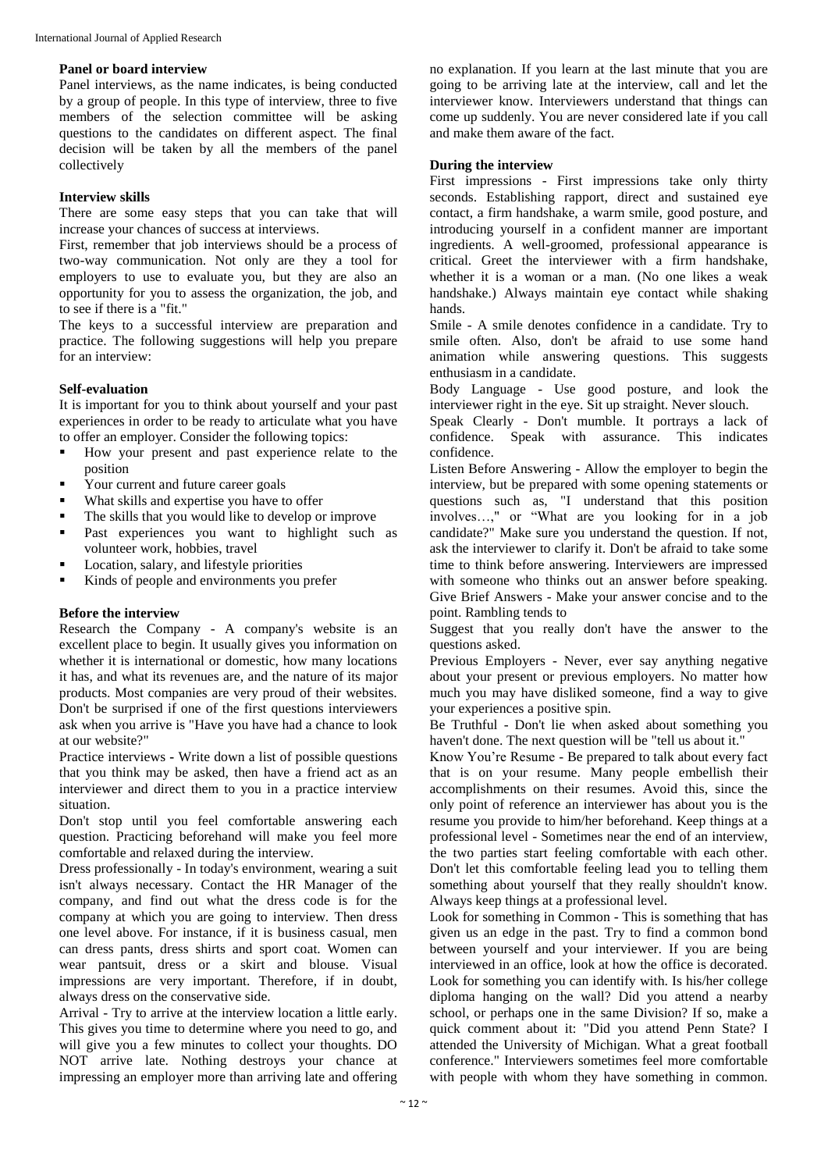#### **Panel or board interview**

Panel interviews, as the name indicates, is being conducted by a group of people. In this type of interview, three to five members of the selection committee will be asking questions to the candidates on different aspect. The final decision will be taken by all the members of the panel collectively

#### **Interview skills**

There are some easy steps that you can take that will increase your chances of success at interviews.

First, remember that job interviews should be a process of two-way communication. Not only are they a tool for employers to use to evaluate you, but they are also an opportunity for you to assess the organization, the job, and to see if there is a "fit."

The keys to a successful interview are preparation and practice. The following suggestions will help you prepare for an interview:

#### **Self-evaluation**

It is important for you to think about yourself and your past experiences in order to be ready to articulate what you have to offer an employer. Consider the following topics:

- How your present and past experience relate to the position
- Your current and future career goals
- What skills and expertise you have to offer
- The skills that you would like to develop or improve
- **Past experiences you want to highlight such as** volunteer work, hobbies, travel
- **Location**, salary, and lifestyle priorities
- Kinds of people and environments you prefer

# **Before the interview**

Research the Company - A company's website is an excellent place to begin. It usually gives you information on whether it is international or domestic, how many locations it has, and what its revenues are, and the nature of its major products. Most companies are very proud of their websites. Don't be surprised if one of the first questions interviewers ask when you arrive is "Have you have had a chance to look at our website?"

Practice interviews **-** Write down a list of possible questions that you think may be asked, then have a friend act as an interviewer and direct them to you in a practice interview situation.

Don't stop until you feel comfortable answering each question. Practicing beforehand will make you feel more comfortable and relaxed during the interview.

Dress professionally - In today's environment, wearing a suit isn't always necessary. Contact the HR Manager of the company, and find out what the dress code is for the company at which you are going to interview. Then dress one level above. For instance, if it is business casual, men can dress pants, dress shirts and sport coat. Women can wear pantsuit, dress or a skirt and blouse. Visual impressions are very important. Therefore, if in doubt, always dress on the conservative side.

Arrival - Try to arrive at the interview location a little early. This gives you time to determine where you need to go, and will give you a few minutes to collect your thoughts. DO NOT arrive late. Nothing destroys your chance at impressing an employer more than arriving late and offering

no explanation. If you learn at the last minute that you are going to be arriving late at the interview, call and let the interviewer know. Interviewers understand that things can come up suddenly. You are never considered late if you call and make them aware of the fact.

#### **During the interview**

First impressions - First impressions take only thirty seconds. Establishing rapport, direct and sustained eye contact, a firm handshake, a warm smile, good posture, and introducing yourself in a confident manner are important ingredients. A well-groomed, professional appearance is critical. Greet the interviewer with a firm handshake, whether it is a woman or a man. (No one likes a weak handshake.) Always maintain eye contact while shaking hands.

Smile - A smile denotes confidence in a candidate. Try to smile often. Also, don't be afraid to use some hand animation while answering questions. This suggests enthusiasm in a candidate.

Body Language - Use good posture, and look the interviewer right in the eye. Sit up straight. Never slouch.

Speak Clearly - Don't mumble. It portrays a lack of confidence. Speak with assurance. This indicates confidence.

Listen Before Answering - Allow the employer to begin the interview, but be prepared with some opening statements or questions such as, "I understand that this position involves…," or "What are you looking for in a job candidate?" Make sure you understand the question. If not, ask the interviewer to clarify it. Don't be afraid to take some time to think before answering. Interviewers are impressed with someone who thinks out an answer before speaking. Give Brief Answers - Make your answer concise and to the point. Rambling tends to

Suggest that you really don't have the answer to the questions asked.

Previous Employers - Never, ever say anything negative about your present or previous employers. No matter how much you may have disliked someone, find a way to give your experiences a positive spin.

Be Truthful - Don't lie when asked about something you haven't done. The next question will be "tell us about it."

Know You're Resume - Be prepared to talk about every fact that is on your resume. Many people embellish their accomplishments on their resumes. Avoid this, since the only point of reference an interviewer has about you is the resume you provide to him/her beforehand. Keep things at a professional level - Sometimes near the end of an interview, the two parties start feeling comfortable with each other. Don't let this comfortable feeling lead you to telling them something about yourself that they really shouldn't know. Always keep things at a professional level.

Look for something in Common - This is something that has given us an edge in the past. Try to find a common bond between yourself and your interviewer. If you are being interviewed in an office, look at how the office is decorated. Look for something you can identify with. Is his/her college diploma hanging on the wall? Did you attend a nearby school, or perhaps one in the same Division? If so, make a quick comment about it: "Did you attend Penn State? I attended the University of Michigan. What a great football conference." Interviewers sometimes feel more comfortable with people with whom they have something in common.